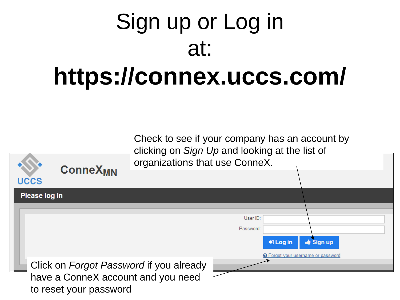# Sign up or Log in at: **https://connex.uccs.com/**

Check to see if your company has an account by clicking on *Sign Up* and looking at the list of organizations that use ConneX.

> User ID: Password:

> > $\bigtriangledown$  Log in

**Sign up** 

**O** Forgot your username or password

Click on *Forgot Password* if you already have a ConneX account and you need to reset your password

**ConneX<sub>MN</sub>** 

**UCCS** 

Please log in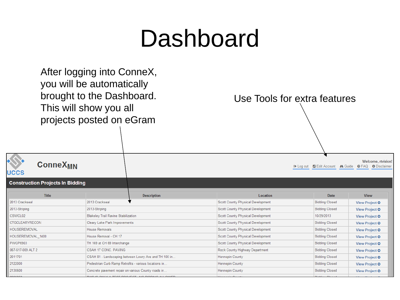#### Dashboard

After logging into ConneX, you will be automatically brought to the Dashboard. This will show you all projects posted on eGram

**ConneX<sub>MN</sub>** 

#### Use Tools for extra features

Welcome, rtvision! Disclaimer B Edit Account A Guide O FAQ O Disclaimer

| $\sim$ $\sim$ $\sim$             |                                                       |                                                  |                                          |                         |                      |
|----------------------------------|-------------------------------------------------------|--------------------------------------------------|------------------------------------------|-------------------------|----------------------|
| Construction Projects In Bidding |                                                       |                                                  |                                          |                         |                      |
| Title                            |                                                       | <b>Description</b>                               | Location                                 | Date                    | <b>View</b>          |
| 2013 Crackseal                   | 2013 Crackseal                                        |                                                  | Scott County Physical Development        | <b>Bidding Closed</b>   | View Project O       |
| 2013-Striping                    | 2013-Striping                                         |                                                  | Scott County Physical Development        | <b>Bidding Closed</b>   | View Project $\odot$ |
| CSWCL02                          | <b>Blakeley Trail Ravine Stabilization</b>            |                                                  | <b>Scott County Physical Development</b> | 10/29/2013              | View Project $\odot$ |
| CTGCLEARYRECON                   | Cleary Lake Park Improvements                         |                                                  | Scott County Physical Development        | <b>Bidding Closed</b>   | View Project O       |
| HOUSEREMOVAL                     | <b>House Removals</b>                                 |                                                  | <b>Scott County Physical Development</b> | <b>Bidding Closed</b>   | View Project O       |
| HOUSEREMOVAL 1400                | House Removal - CH 17                                 |                                                  | <b>Scott County Physical Development</b> | <b>Bidding Closed</b>   | View Project $\odot$ |
| PWCP6903                         | TH 169 at CH 69 Interchange                           |                                                  | Scott County Physical Development        | <b>Bidding Closed</b>   | View Project $\odot$ |
| 067-617-009 ALT 2                | CSAH 17 CONC. PAVING                                  |                                                  | Rock County Highway Department           | <b>Bidding Closed</b>   | View Project O       |
| 2011701                          | CSAH 81 - Landscaping between Lowry Ave and TH 100 in |                                                  | <b>Hennepin County</b>                   | <b>Bidding Closed</b>   | View Project O       |
| 2122000                          | Pedestrian Curb Ramp Retrofits - various locations in |                                                  | <b>Hennepin County</b>                   | <b>Bidding Closed</b>   | View Project O       |
| 2130600                          | Concrete pavement repair on various County roads in   |                                                  | <b>Hennepin County</b>                   | <b>Bidding Closed</b>   | View Project $\odot$ |
| 0000000                          |                                                       | THIR IS ONLY A TEST DDO IFST. NO DIDDING ALLOWED | <b><i>Linux color Cornel</i></b>         | Distribution Of a small |                      |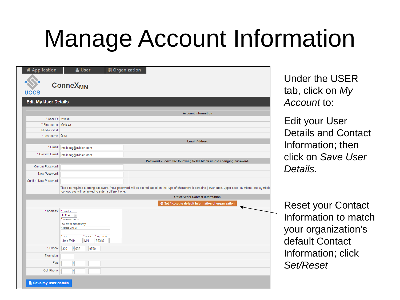### Manage Account Information

| <b>*</b> Application          | <b>B</b> Organization<br>& User                                                                                                                                   |
|-------------------------------|-------------------------------------------------------------------------------------------------------------------------------------------------------------------|
| <b>UCCS</b>                   | <b>ConneX<sub>MN</sub></b>                                                                                                                                        |
| <b>Edit My User Details</b>   |                                                                                                                                                                   |
|                               | <b>Account Information</b>                                                                                                                                        |
| * User ID: rtvision           |                                                                                                                                                                   |
| * First name: Melissa         |                                                                                                                                                                   |
| Middle initial:               |                                                                                                                                                                   |
| * Last name: Girtz            |                                                                                                                                                                   |
|                               | <b>Email Address</b>                                                                                                                                              |
| * Email:                      | melissag@rtvision.com                                                                                                                                             |
| * Confirm Email:              |                                                                                                                                                                   |
|                               | melissag@rtvision.com                                                                                                                                             |
| Current Password:             | Password - Leave the following fields blank unless changing password.                                                                                             |
|                               |                                                                                                                                                                   |
| New Password:                 |                                                                                                                                                                   |
| Confirm New Password:         |                                                                                                                                                                   |
|                               | This site requires a strong password. Your password will be scored based on the type of characters it contains (lower case, upper case, numbers, and symbols      |
|                               | too low, you will be asked to enter a different one.                                                                                                              |
|                               | <b>Office/Work Contact Information</b>                                                                                                                            |
|                               | Set / Reset to default information of organization                                                                                                                |
| * Address:                    | * Country:<br>U.S.A.<br>Address Line 1:<br>58 East Broadway<br>Address Line 2:<br>* City:<br>* State:<br>* Zip Code:<br><b>Little Falls</b><br><b>MN</b><br>56345 |
| * Phone:                      | (320)<br>$ $ 632<br>0760                                                                                                                                          |
| Extension:                    |                                                                                                                                                                   |
| Fax:                          |                                                                                                                                                                   |
| Cell Phone:                   |                                                                                                                                                                   |
|                               |                                                                                                                                                                   |
| <b>A</b> Save my user details |                                                                                                                                                                   |

Under the USER tab, click on *My Account* to:

Edit your User Details and Contact Information; then click on *Save User Details*.

Reset your Contact Information to match your organization's default Contact Information; click *Set/Reset*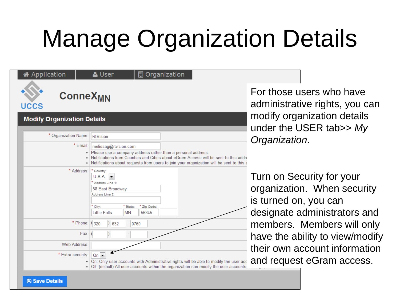# Manage Organization Details

| 各 Application                             | <b>■</b> Organization<br>& User                                                                                                                                                                                                                                             |
|-------------------------------------------|-----------------------------------------------------------------------------------------------------------------------------------------------------------------------------------------------------------------------------------------------------------------------------|
| <b>ConneX<sub>MN</sub></b><br><b>UCCS</b> |                                                                                                                                                                                                                                                                             |
| <b>Modify Organization Details</b>        |                                                                                                                                                                                                                                                                             |
| * Organization Name:                      | RtVision                                                                                                                                                                                                                                                                    |
| * Email:                                  | melissag@rtvision.com<br>. Please use a company address rather than a personal address.<br>Notifications from Counties and Cities about eGram Access will be sent to this addre<br>Notifications about requests from users to join your organization will be sent to this a |
| * Address:                                | * Country:<br>U.S.A.<br>* Address Line 1:<br>58 East Broadway<br>Address Line 2:<br>* City:<br>* State:<br>* Zip Code:<br><b>Little Falls</b><br>56345<br><b>MN</b>                                                                                                         |
| * Phone:                                  | (320)<br>632<br>$-10760$                                                                                                                                                                                                                                                    |
| Fax:                                      |                                                                                                                                                                                                                                                                             |
| Web Address:                              |                                                                                                                                                                                                                                                                             |
| * Extra security:<br>٠                    | On $\blacktriangleright$<br>On: Only user accounts with Administrative rights will be able to modify the user acc<br>Off: (default) All user accounts within the organization can modify the user accounts.                                                                 |

For those users who have administrative rights, you can modify organization details under the USER tab>> *My Organization*.

Turn on Security for your organization. When security is turned on, you can designate administrators and members. Members will only have the ability to view/modify their own account information and request eGram access.

#### **A** Save Details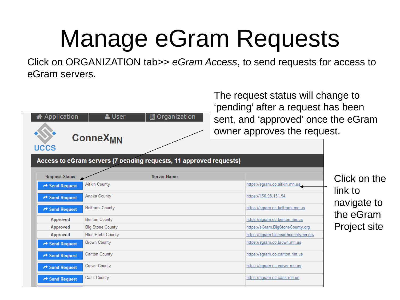# Manage eGram Requests

Click on ORGANIZATION tab>> *eGram Access*, to send requests for access to eGram servers.

The request status will change to

| 各 Application         | & User<br>Organization<br>▦                                        | The request status will change to<br>'pending' after a request has been<br>sent, and 'approved' once the eGram<br>owner approves the request. |                        |  |  |
|-----------------------|--------------------------------------------------------------------|-----------------------------------------------------------------------------------------------------------------------------------------------|------------------------|--|--|
| uccs                  | <b>ConneX<sub>MN</sub></b>                                         |                                                                                                                                               |                        |  |  |
|                       | Access to eGram servers (7 pending requests, 11 approved requests) |                                                                                                                                               |                        |  |  |
| <b>Request Status</b> | <b>Server Name</b>                                                 |                                                                                                                                               | Click on the           |  |  |
| Send Request          | Aitkin County                                                      | https://egram.co.aitkin.mn.us                                                                                                                 | link to<br>navigate to |  |  |
| ← Send Request        | Anoka County                                                       | https://156.98.131.94                                                                                                                         |                        |  |  |
| ← Send Request        | Beltrami County                                                    | https://eqram.co.beltrami.mn.us                                                                                                               |                        |  |  |
| Approved              | Benton County                                                      | https://eqram.co.benton.mn.us                                                                                                                 | the eGram              |  |  |
| Approved              | <b>Big Stone County</b>                                            | https://eGram.BigStoneCounty.org                                                                                                              | <b>Project site</b>    |  |  |
| Approved              | <b>Blue Earth County</b>                                           | https://eqram.blueearthcountymn.gov                                                                                                           |                        |  |  |
| ← Send Request        | <b>Brown County</b>                                                | https://egram.co.brown.mn.us                                                                                                                  |                        |  |  |
| Send Request          | Carlton County                                                     | https://egram.co.carlton.mn.us                                                                                                                |                        |  |  |
| Send Request          | Carver County                                                      | https://eqram.co.carver.mn.us                                                                                                                 |                        |  |  |
| Send Request          | Cass County                                                        | https://egram.co.cass.mn.us                                                                                                                   |                        |  |  |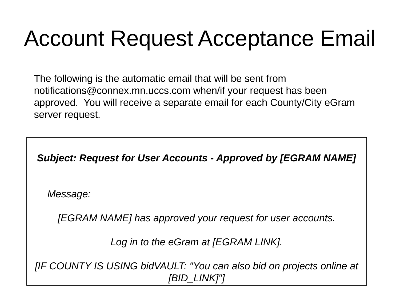#### Account Request Acceptance Email

The following is the automatic email that will be sent from notifications@connex.mn.uccs.com when/if your request has been approved. You will receive a separate email for each County/City eGram server request.

*Subject: Request for User Accounts - Approved by [EGRAM NAME]*

*Message:* 

*[EGRAM NAME] has approved your request for user accounts.*

*Log in to the eGram at [EGRAM LINK].*

*[IF COUNTY IS USING bidVAULT: "You can also bid on projects online at [BID\_LINK]"]*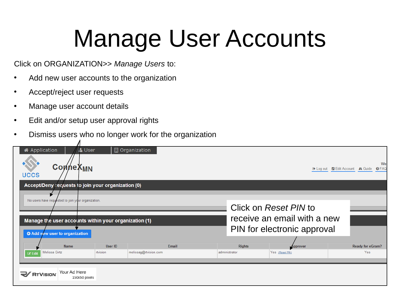# Manage User Accounts

Click on ORGANIZATION>> *Manage Users* to:

- Add new user accounts to the organization
- Accept/reject user requests
- Manage user account details
- Edit and/or setup user approval rights
- Dismiss users who no longer work for the organization

| <b>备 Application</b><br><b>A</b> User<br><b>ConneX<sub>MN</sub></b><br><b>UCCS</b><br>Accept/Deny requests to join your organization (0)             |          | <b>B</b> Organization |       |               |                                                                                     | EX Log out 2 Edit Account A Guide | Wel<br><b>O</b> FAC |
|------------------------------------------------------------------------------------------------------------------------------------------------------|----------|-----------------------|-------|---------------|-------------------------------------------------------------------------------------|-----------------------------------|---------------------|
| No users have requested to join your organization.<br>Manage the user accounts within your organization (1)<br><b>O</b> Add new user to organization |          |                       |       |               | Click on Reset PIN to<br>receive an email with a new<br>PIN for electronic approval |                                   |                     |
| Name                                                                                                                                                 | User ID  |                       | Email | <b>Rights</b> | Approver                                                                            | <b>Ready for eGram?</b>           |                     |
| Melissa Girtz<br>$\mathbb{Z}$ Edit                                                                                                                   | rtvision | melissag@rtvision.com |       | administrator | Yes (Reset PIN)                                                                     | Yes                               |                     |
| Your Ad Here<br><b>V</b> RTVISION<br>150x50 pixels                                                                                                   |          |                       |       |               |                                                                                     |                                   |                     |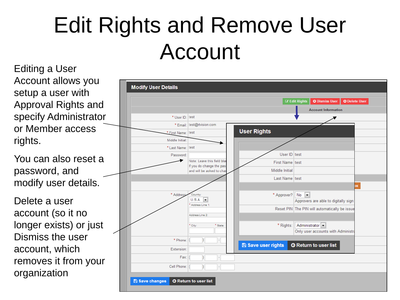#### Edit Rights and Remove User Account

Editing a User Account allows you setup a user with Approval Rights and specify Administrator or Member access rights.

You can also reset a password, and modify user details.

Delete a user account (so it no longer exists) or just Dismiss the user account, which removes it from your organization